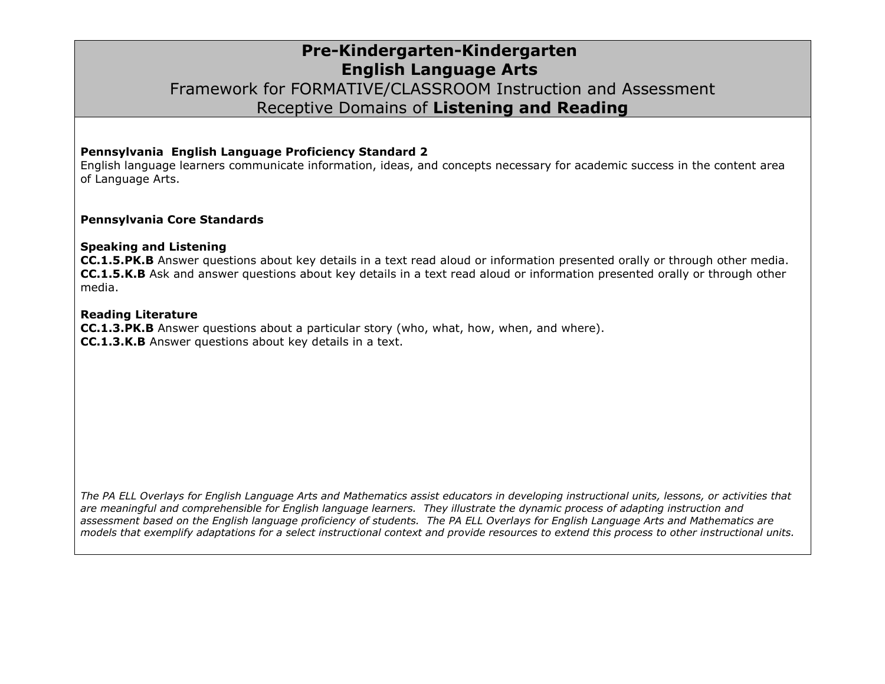### **Pre-Kindergarten-Kindergarten English Language Arts** Framework for FORMATIVE/CLASSROOM Instruction and Assessment Receptive Domains of **Listening and Reading**

#### **Pennsylvania English Language Proficiency Standard 2**

English language learners communicate information, ideas, and concepts necessary for academic success in the content area of Language Arts.

#### **Pennsylvania Core Standards**

#### **Speaking and Listening**

**CC.1.5.PK.B** Answer questions about key details in a text read aloud or information presented orally or through other media. **CC.1.5.K.B** Ask and answer questions about key details in a text read aloud or information presented orally or through other media.

#### **Reading Literature**

**CC.1.3.PK.B** Answer questions about a particular story (who, what, how, when, and where). **CC.1.3.K.B** Answer questions about key details in a text.

*The PA ELL Overlays for English Language Arts and Mathematics assist educators in developing instructional units, lessons, or activities that are meaningful and comprehensible for English language learners. They illustrate the dynamic process of adapting instruction and assessment based on the English language proficiency of students. The PA ELL Overlays for English Language Arts and Mathematics are models that exemplify adaptations for a select instructional context and provide resources to extend this process to other instructional units.*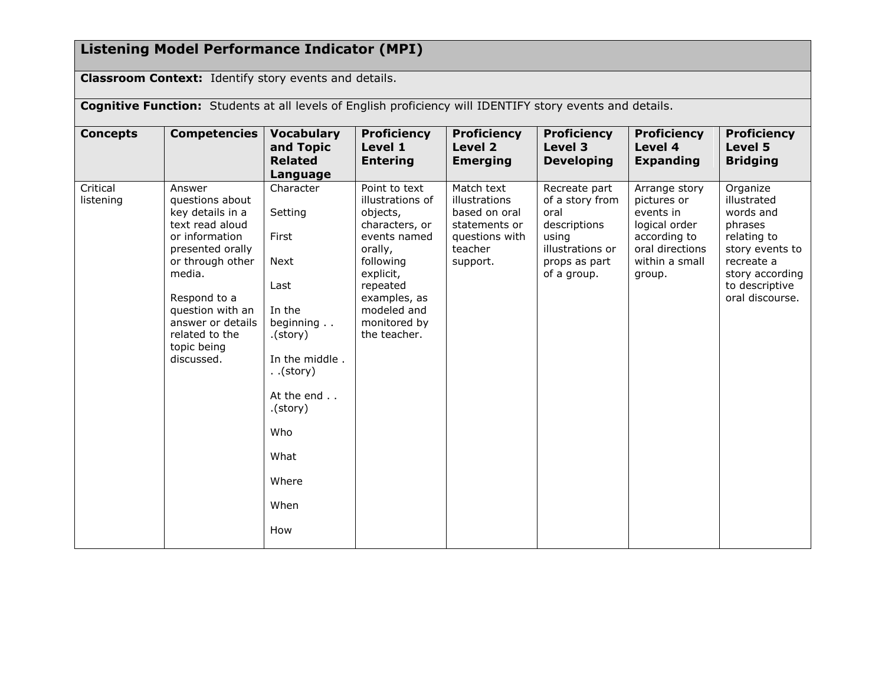## **Listening Model Performance Indicator (MPI)**

**Classroom Context:** Identify story events and details.

**Cognitive Function:** Students at all levels of English proficiency will IDENTIFY story events and details.

| <b>Concepts</b>       | <b>Competencies</b>                                                                                                                                                                                                                          | <b>Vocabulary</b><br>and Topic<br><b>Related</b><br>Language                                                                                                                                      | <b>Proficiency</b><br>Level 1<br><b>Entering</b>                                                                                                                                                | <b>Proficiency</b><br>Level 2<br><b>Emerging</b>                                                       | <b>Proficiency</b><br>Level 3<br><b>Developing</b>                                                                    | <b>Proficiency</b><br>Level 4<br><b>Expanding</b>                                                                         | <b>Proficiency</b><br>Level 5<br><b>Bridging</b>                                                                                                        |
|-----------------------|----------------------------------------------------------------------------------------------------------------------------------------------------------------------------------------------------------------------------------------------|---------------------------------------------------------------------------------------------------------------------------------------------------------------------------------------------------|-------------------------------------------------------------------------------------------------------------------------------------------------------------------------------------------------|--------------------------------------------------------------------------------------------------------|-----------------------------------------------------------------------------------------------------------------------|---------------------------------------------------------------------------------------------------------------------------|---------------------------------------------------------------------------------------------------------------------------------------------------------|
| Critical<br>listening | Answer<br>questions about<br>key details in a<br>text read aloud<br>or information<br>presented orally<br>or through other<br>media.<br>Respond to a<br>question with an<br>answer or details<br>related to the<br>topic being<br>discussed. | Character<br>Setting<br>First<br><b>Next</b><br>Last<br>In the<br>beginning<br>$.$ (story).<br>In the middle.<br>$.$ (story)<br>At the end<br>$.$ (story).<br>Who<br>What<br>Where<br>When<br>How | Point to text<br>illustrations of<br>objects,<br>characters, or<br>events named<br>orally,<br>following<br>explicit,<br>repeated<br>examples, as<br>modeled and<br>monitored by<br>the teacher. | Match text<br>illustrations<br>based on oral<br>statements or<br>questions with<br>teacher<br>support. | Recreate part<br>of a story from<br>oral<br>descriptions<br>using<br>illustrations or<br>props as part<br>of a group. | Arrange story<br>pictures or<br>events in<br>logical order<br>according to<br>oral directions<br>within a small<br>group. | Organize<br>illustrated<br>words and<br>phrases<br>relating to<br>story events to<br>recreate a<br>story according<br>to descriptive<br>oral discourse. |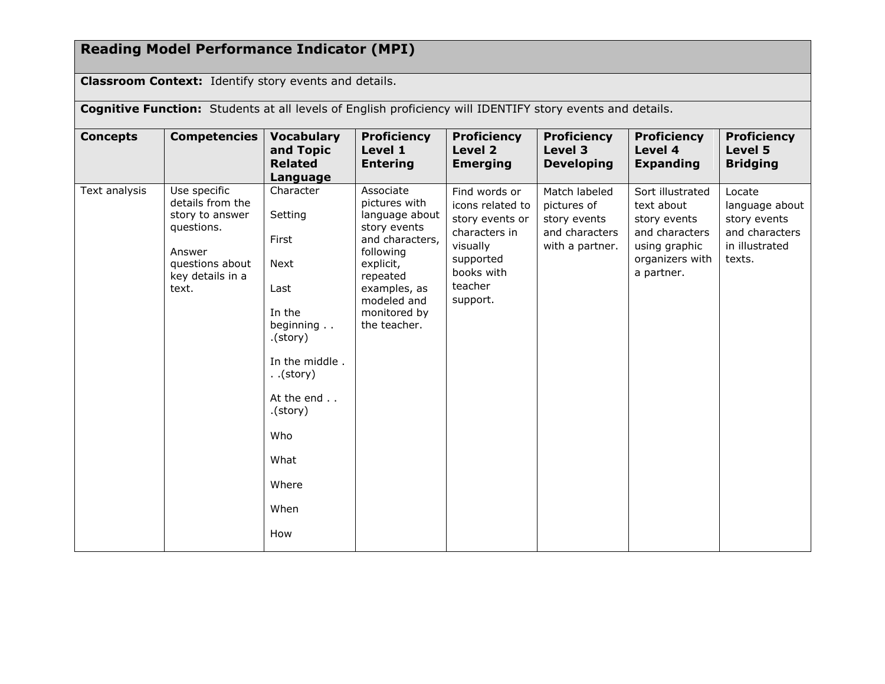# **Reading Model Performance Indicator (MPI)**

**Classroom Context:** Identify story events and details.

**Cognitive Function:** Students at all levels of English proficiency will IDENTIFY story events and details.

| <b>Concepts</b> | <b>Competencies</b>                                                                                                         | <b>Vocabulary</b><br>and Topic<br><b>Related</b><br>Language                                                                                                                                  | <b>Proficiency</b><br>Level 1<br><b>Entering</b>                                                                                                                                     | <b>Proficiency</b><br>Level 2<br><b>Emerging</b>                                                                                    | <b>Proficiency</b><br>Level 3<br><b>Developing</b>                                | <b>Proficiency</b><br>Level 4<br><b>Expanding</b>                                                                  | <b>Proficiency</b><br>Level 5<br><b>Bridging</b>                                       |
|-----------------|-----------------------------------------------------------------------------------------------------------------------------|-----------------------------------------------------------------------------------------------------------------------------------------------------------------------------------------------|--------------------------------------------------------------------------------------------------------------------------------------------------------------------------------------|-------------------------------------------------------------------------------------------------------------------------------------|-----------------------------------------------------------------------------------|--------------------------------------------------------------------------------------------------------------------|----------------------------------------------------------------------------------------|
| Text analysis   | Use specific<br>details from the<br>story to answer<br>questions.<br>Answer<br>questions about<br>key details in a<br>text. | Character<br>Setting<br>First<br><b>Next</b><br>Last<br>In the<br>beginning<br>.(story)<br>In the middle.<br>$.$ (story)<br>At the end<br>$.$ (story).<br>Who<br>What<br>Where<br>When<br>How | Associate<br>pictures with<br>language about<br>story events<br>and characters,<br>following<br>explicit,<br>repeated<br>examples, as<br>modeled and<br>monitored by<br>the teacher. | Find words or<br>icons related to<br>story events or<br>characters in<br>visually<br>supported<br>books with<br>teacher<br>support. | Match labeled<br>pictures of<br>story events<br>and characters<br>with a partner. | Sort illustrated<br>text about<br>story events<br>and characters<br>using graphic<br>organizers with<br>a partner. | Locate<br>language about<br>story events<br>and characters<br>in illustrated<br>texts. |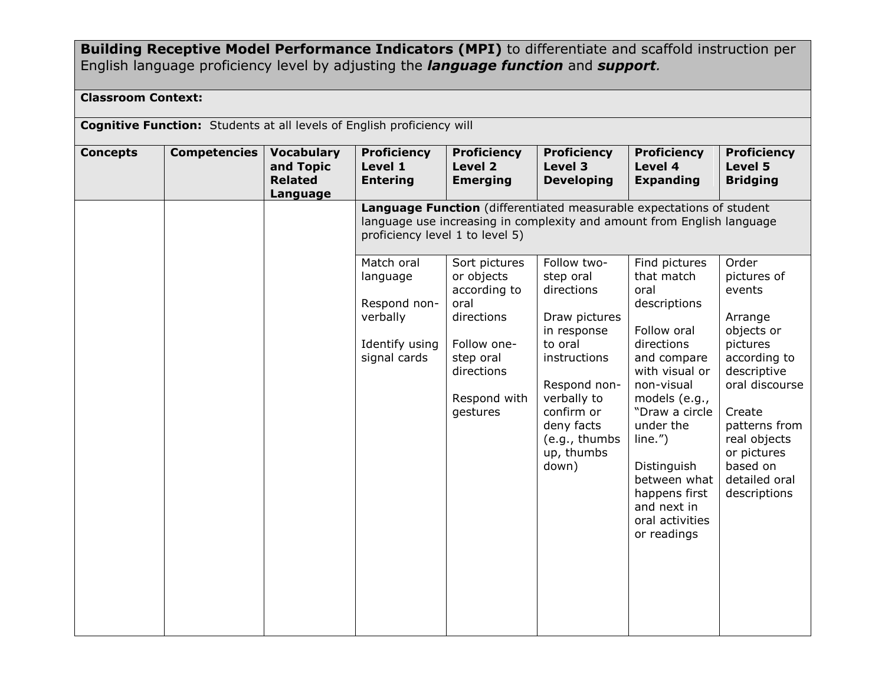**Building Receptive Model Performance Indicators (MPI)** to differentiate and scaffold instruction per English language proficiency level by adjusting the *language function* and *support.*

### **Classroom Context:**

| <b>Cognitive Function:</b> Students at all levels of English proficiency will |                     |                                                              |                                                                                      |                                                                                                                                         |                                                                                                                                                                                                      |                                                                                                                                                                                                                                                                                            |                                                                                                                                                                                                                             |
|-------------------------------------------------------------------------------|---------------------|--------------------------------------------------------------|--------------------------------------------------------------------------------------|-----------------------------------------------------------------------------------------------------------------------------------------|------------------------------------------------------------------------------------------------------------------------------------------------------------------------------------------------------|--------------------------------------------------------------------------------------------------------------------------------------------------------------------------------------------------------------------------------------------------------------------------------------------|-----------------------------------------------------------------------------------------------------------------------------------------------------------------------------------------------------------------------------|
| <b>Concepts</b>                                                               | <b>Competencies</b> | <b>Vocabulary</b><br>and Topic<br><b>Related</b><br>Language | <b>Proficiency</b><br>Level 1<br><b>Entering</b>                                     | <b>Proficiency</b><br>Level 2<br><b>Emerging</b>                                                                                        | <b>Proficiency</b><br>Level 3<br><b>Developing</b>                                                                                                                                                   | <b>Proficiency</b><br>Level 4<br><b>Expanding</b>                                                                                                                                                                                                                                          | <b>Proficiency</b><br>Level 5<br><b>Bridging</b>                                                                                                                                                                            |
|                                                                               |                     |                                                              | proficiency level 1 to level 5)                                                      |                                                                                                                                         |                                                                                                                                                                                                      | Language Function (differentiated measurable expectations of student<br>language use increasing in complexity and amount from English language                                                                                                                                             |                                                                                                                                                                                                                             |
|                                                                               |                     |                                                              | Match oral<br>language<br>Respond non-<br>verbally<br>Identify using<br>signal cards | Sort pictures<br>or objects<br>according to<br>oral<br>directions<br>Follow one-<br>step oral<br>directions<br>Respond with<br>gestures | Follow two-<br>step oral<br>directions<br>Draw pictures<br>in response<br>to oral<br>instructions<br>Respond non-<br>verbally to<br>confirm or<br>deny facts<br>(e.g., thumbs<br>up, thumbs<br>down) | Find pictures<br>that match<br>oral<br>descriptions<br>Follow oral<br>directions<br>and compare<br>with visual or<br>non-visual<br>models (e.g.,<br>"Draw a circle<br>under the<br>line."<br>Distinguish<br>between what<br>happens first<br>and next in<br>oral activities<br>or readings | Order<br>pictures of<br>events<br>Arrange<br>objects or<br>pictures<br>according to<br>descriptive<br>oral discourse<br>Create<br>patterns from<br>real objects<br>or pictures<br>based on<br>detailed oral<br>descriptions |